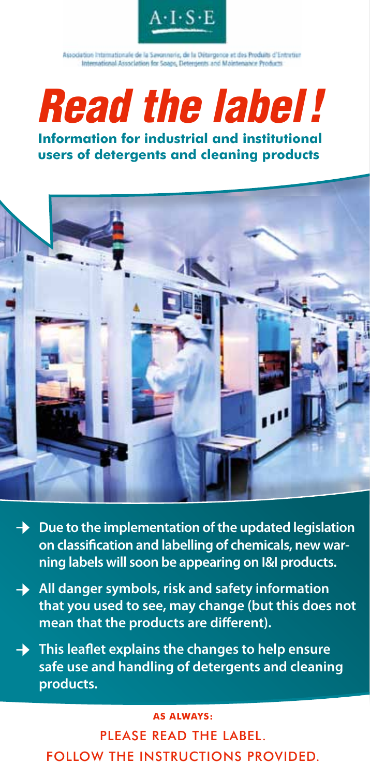

Association Internationale de la Savonnorie, de la Détargence et des Produits d'Entretien International Association for Seaps, Detergents and Maintenance Products

# *Read the label !*

**Information for industrial and institutional users of detergents and cleaning products**



- **→** Due to the implementation of the updated legislation **on classification and labelling of chemicals, new warning labels will soon be appearing on I&I products.**
- **→** All danger symbols, risk and safety information **that you used to see, may change (but this does not mean that the products are different).**
- **This leaflet explains the changes to help ensure safe use and handling of detergents and cleaning products. →**

#### **→ As always:**

Please read the label. follow the instructions provided.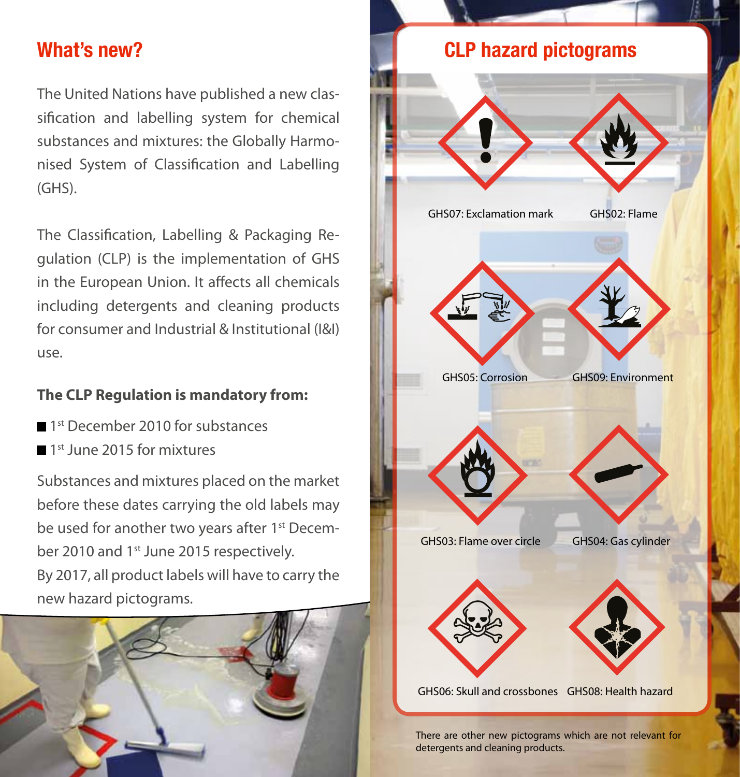## **What's new?**

The United Nations have published a new classification and labelling system for chemical substances and mixtures: the Globally Harmonised System of Classification and Labelling (GHS).

The Classification, Labelling & Packaging Regulation (CLP) is the implementation of GHS in the European Union. It affects all chemicals including detergents and cleaning products for consumer and Industrial & Institutional (I&I) use.

### **The CLP Regulation is mandatory from:**

- 1<sup>st</sup> December 2010 for substances
- 1<sup>st</sup> June 2015 for mixtures

Substances and mixtures placed on the market before these dates carrying the old labels may be used for another two years after 1<sup>st</sup> December 2010 and 1<sup>st</sup> June 2015 respectively. By 2017, all product labels will have to carry the new hazard pictograms.





There are other new pictograms which are not relevant for detergents and cleaning products.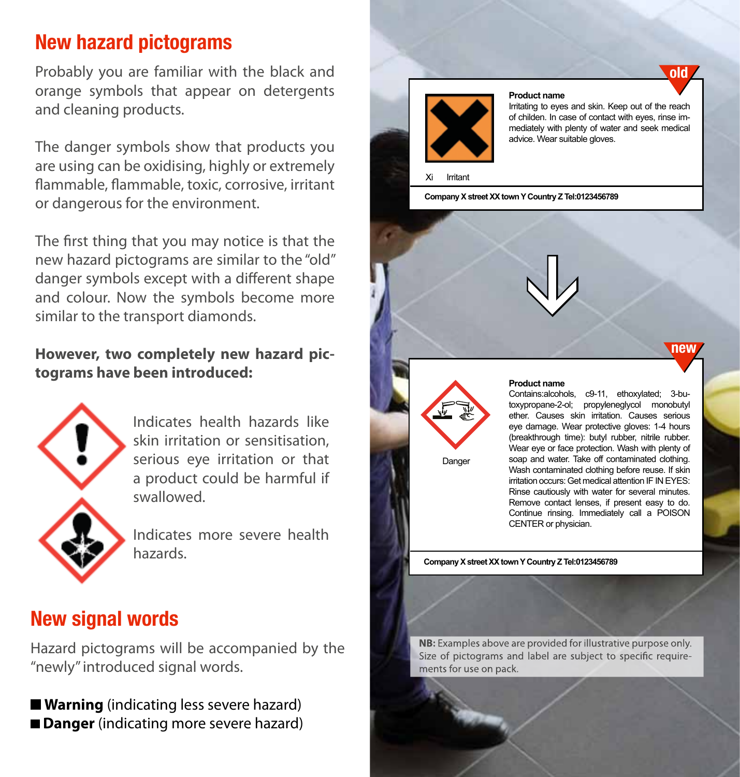# **New hazard pictograms**

Probably you are familiar with the black and orange symbols that appear on detergents and cleaning products.

The danger symbols show that products you are using can be oxidising, highly or extremely flammable, flammable, toxic, corrosive, irritant or dangerous for the environment.

The first thing that you may notice is that the new hazard pictograms are similar to the "old" danger symbols except with a different shape and colour. Now the symbols become more similar to the transport diamonds.

#### **However, two completely new hazard pictograms have been introduced:**



Indicates health hazards like skin irritation or sensitisation, serious eye irritation or that a product could be harmful if swallowed.

Indicates more severe health hazards.

## **New signal words**

Hazard pictograms will be accompanied by the "newly" introduced signal words.

**Warning** (indicating less severe hazard) **Danger** (indicating more severe hazard)



#### **Product name**

Irritating to eyes and skin. Keep out of the reach of childen. In case of contact with eyes, rinse immediately with plenty of water and seek medical advice. Wear suitable gloves.

**old**

**new**

Irritant

**Company X street XX town Y Country Z Tel:0123456789** 



Danger

#### **Product name**

**>**

Contains:alcohols, c9-11, ethoxylated; 3-butoxypropane-2-ol; propyleneglycol monobutyl ether. Causes skin irritation. Causes serious eye damage. Wear protective gloves: 1-4 hours (breakthrough time): butyl rubber, nitrile rubber. Wear eye or face protection. Wash with plenty of soap and water. Take off contaminated clothing. Wash contaminated clothing before reuse. If skin irritation occurs: Get medical attention IF IN EYES: Rinse cautiously with water for several minutes. Remove contact lenses, if present easy to do. Continue rinsing. Immediately call a POISON CENTER or physician.

**Company X street XX town Y Country Z Tel:0123456789** 

NB: Examples above are provided for illustrative purpose only. Size of pictograms and label are subject to specific requirements for use on pack.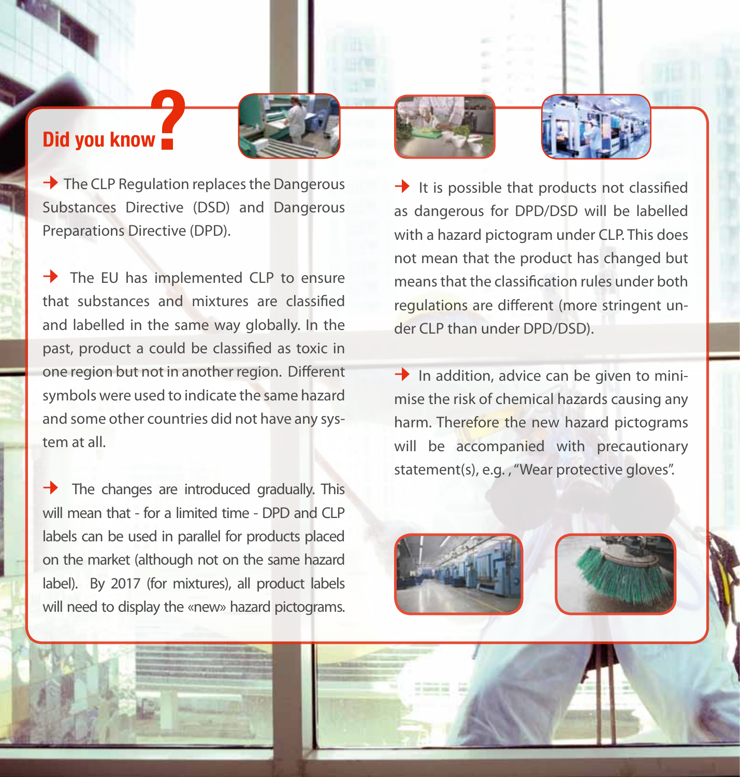## **Did you know**

**→** The CLP Regulation replaces the Dangerous Substances Directive (DSD) and Dangerous Preparations Directive (DPD).

**→** The EU has implemented CLP to ensure that substances and mixtures are classified and labelled in the same way globally. In the past, product a could be classified as toxic in one region but not in another region. Different symbols were used to indicate the same hazard and some other countries did not have any system at all.

**→** The changes are introduced gradually. This will mean that - for a limited time - DPD and CLP labels can be used in parallel for products placed on the market (although not on the same hazard label). By 2017 (for mixtures), all product labels will need to display the «new» hazard pictograms.

**→** It is possible that products not classified as dangerous for DPD/DSD will be labelled with a hazard pictogram under CLP. This does not mean that the product has changed but means that the classification rules under both regulations are different (more stringent under CLP than under DPD/DSD).

**→** In addition, advice can be given to minimise the risk of chemical hazards causing any harm. Therefore the new hazard pictograms will be accompanied with precautionary statement(s), e.g. , "Wear protective gloves".